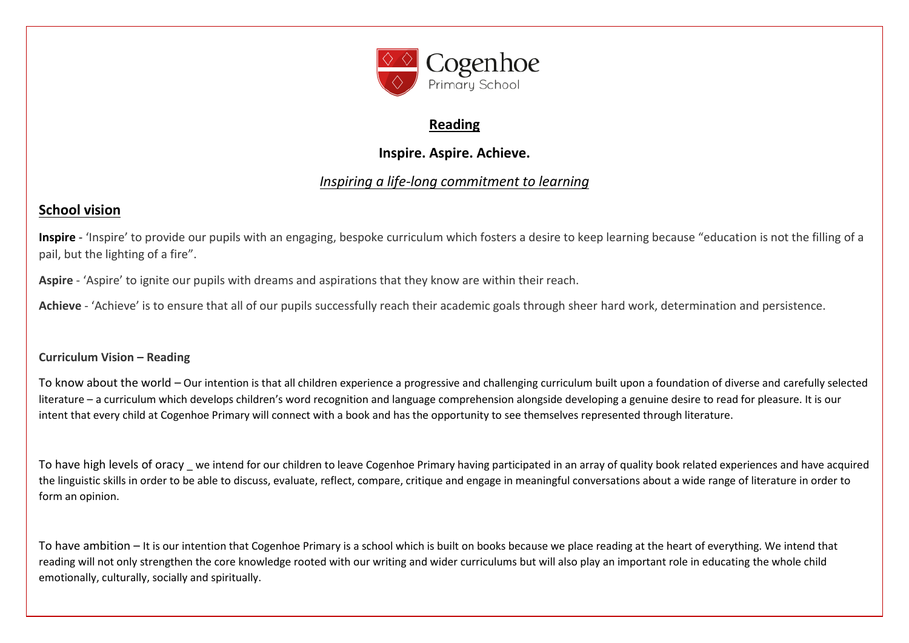

## **Reading**

# **Inspire. Aspire. Achieve.**

# *Inspiring a life-long commitment to learning*

# **School vision**

**Inspire** - 'Inspire' to provide our pupils with an engaging, bespoke curriculum which fosters a desire to keep learning because "education is not the filling of a pail, but the lighting of a fire".

**Aspire** - 'Aspire' to ignite our pupils with dreams and aspirations that they know are within their reach.

**Achieve** - 'Achieve' is to ensure that all of our pupils successfully reach their academic goals through sheer hard work, determination and persistence.

## **Curriculum Vision – Reading**

To know about the world – Our intention is that all children experience a progressive and challenging curriculum built upon a foundation of diverse and carefully selected literature – a curriculum which develops children's word recognition and language comprehension alongside developing a genuine desire to read for pleasure. It is our intent that every child at Cogenhoe Primary will connect with a book and has the opportunity to see themselves represented through literature.

To have high levels of oracy we intend for our children to leave Cogenhoe Primary having participated in an array of quality book related experiences and have acquired the linguistic skills in order to be able to discuss, evaluate, reflect, compare, critique and engage in meaningful conversations about a wide range of literature in order to form an opinion.

To have ambition – It is our intention that Cogenhoe Primary is a school which is built on books because we place reading at the heart of everything. We intend that reading will not only strengthen the core knowledge rooted with our writing and wider curriculums but will also play an important role in educating the whole child emotionally, culturally, socially and spiritually.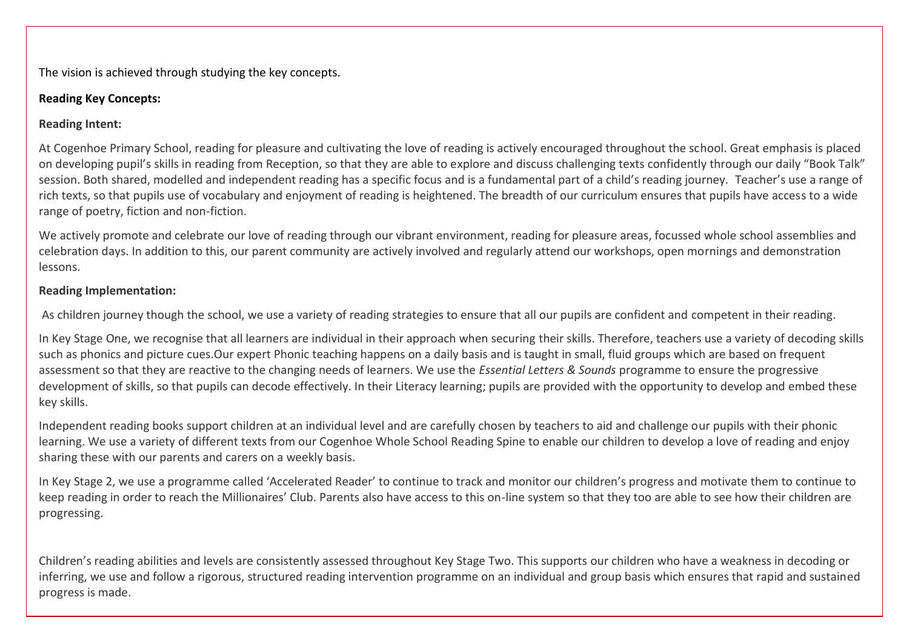The vision is achieved through studying the key concepts.

## **Reading Key Concepts:**

## **Reading Intent:**

At Cogenhoe Primary School, reading for pleasure and cultivating the love of reading is actively encouraged throughout the school. Great emphasis is placed on developing pupil's skills in reading from Reception, so that they are able to explore and discuss challenging texts confidently through our daily "Book Talk" session. Both shared, modelled and independent reading has a specific focus and is a fundamental part of a child's reading journey. Teacher's use a range of rich texts, so that pupils use of vocabulary and enjoyment of reading is heightened. The breadth of our curriculum ensures that pupils have access to a wide range of poetry, fiction and non-fiction.

We actively promote and celebrate our love of reading through our vibrant environment, reading for pleasure areas, focussed whole school assemblies and celebration days. In addition to this, our parent community are actively involved and regularly attend our workshops, open mornings and demonstration lessons.

## **Reading Implementation:**

As children journey though the school, we use a variety of reading strategies to ensure that all our pupils are confident and competent in their reading.

In Key Stage One, we recognise that all learners are individual in their approach when securing their skills. Therefore, teachers use a variety of decoding skills such as phonics and picture cues.Our expert Phonic teaching happens on a daily basis and is taught in small, fluid groups which are based on frequent assessment so that they are reactive to the changing needs of learners. We use the *Essential Letters & Sounds* programme to ensure the progressive development of skills, so that pupils can decode effectively. In their Literacy learning; pupils are provided with the opportunity to develop and embed these key skills.

Independent reading books support children at an individual level and are carefully chosen by teachers to aid and challenge our pupils with their phonic learning. We use a variety of different texts from our Cogenhoe Whole School Reading Spine to enable our children to develop a love of reading and enjoy sharing these with our parents and carers on a weekly basis.

In Key Stage 2, we use a programme called 'Accelerated Reader' to continue to track and monitor our children's progress and motivate them to continue to keep reading in order to reach the Millionaires' Club. Parents also have access to this on-line system so that they too are able to see how their children are progressing.

Children's reading abilities and levels are consistently assessed throughout Key Stage Two. This supports our children who have a weakness in decoding or inferring, we use and follow a rigorous, structured reading intervention programme on an individual and group basis which ensures that rapid and sustained progress is made.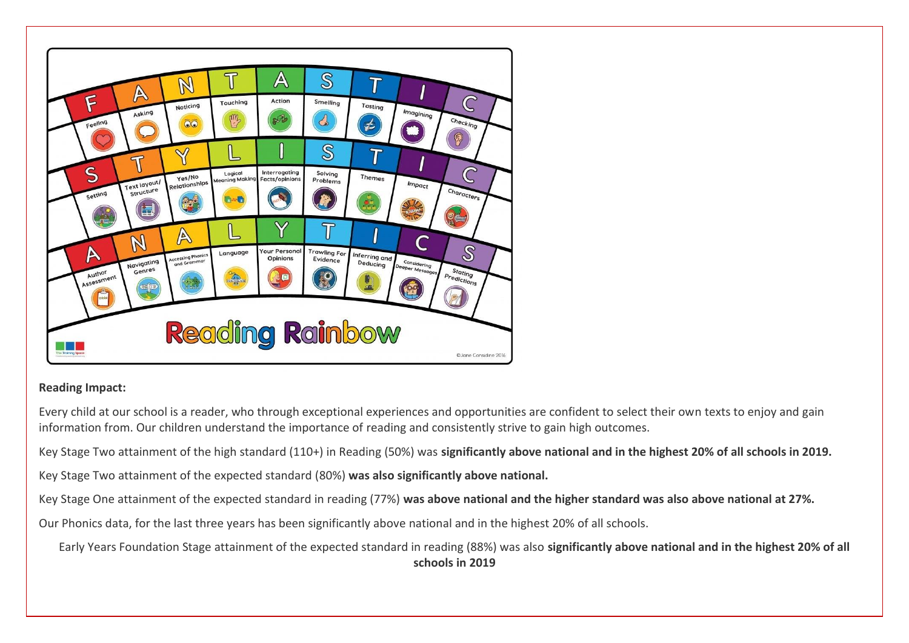

## **Reading Impact:**

Every child at our school is a reader, who through exceptional experiences and opportunities are confident to select their own texts to enjoy and gain information from. Our children understand the importance of reading and consistently strive to gain high outcomes.

Key Stage Two attainment of the high standard (110+) in Reading (50%) was **significantly above national and in the highest 20% of all schools in 2019.**

Key Stage Two attainment of the expected standard (80%) **was also significantly above national.**

Key Stage One attainment of the expected standard in reading (77%) **was above national and the higher standard was also above national at 27%.**

Our Phonics data, for the last three years has been significantly above national and in the highest 20% of all schools.

Early Years Foundation Stage attainment of the expected standard in reading (88%) was also **significantly above national and in the highest 20% of all schools in 2019**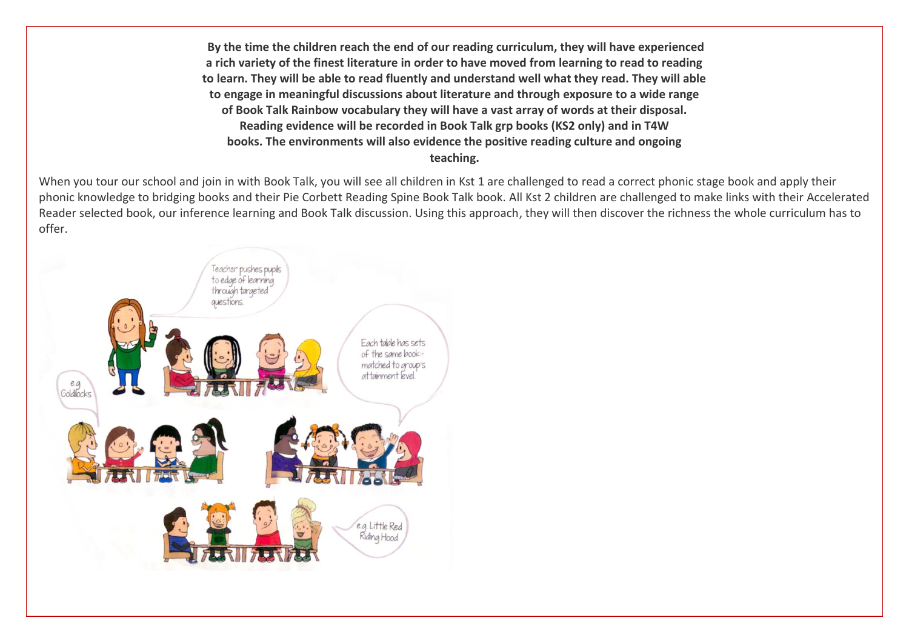**By the time the children reach the end of our reading curriculum, they will have experienced a rich variety of the finest literature in order to have moved from learning to read to reading to learn. They will be able to read fluently and understand well what they read. They will able to engage in meaningful discussions about literature and through exposure to a wide range of Book Talk Rainbow vocabulary they will have a vast array of words at their disposal. Reading evidence will be recorded in Book Talk grp books (KS2 only) and in T4W books. The environments will also evidence the positive reading culture and ongoing teaching.**

When you tour our school and join in with Book Talk, you will see all children in Kst 1 are challenged to read a correct phonic stage book and apply their phonic knowledge to bridging books and their Pie Corbett Reading Spine Book Talk book. All Kst 2 children are challenged to make links with their Accelerated Reader selected book, our inference learning and Book Talk discussion. Using this approach, they will then discover the richness the whole curriculum has to offer.

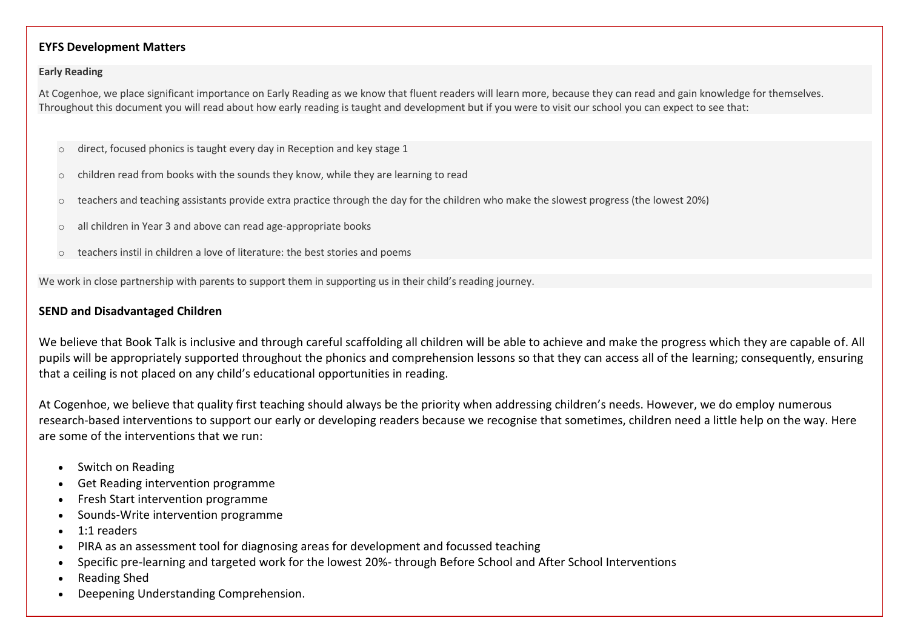#### **EYFS Development Matters**

#### **Early Reading**

At Cogenhoe, we place significant importance on Early Reading as we know that fluent readers will learn more, because they can read and gain knowledge for themselves. Throughout this document you will read about how early reading is taught and development but if you were to visit our school you can expect to see that:

- direct, focused phonics is taught every day in Reception and key stage 1
- children read from books with the sounds they know, while they are learning to read
- o teachers and teaching assistants provide extra practice through the day for the children who make the slowest progress (the lowest 20%)
- o all children in Year 3 and above can read age-appropriate books
- o teachers instil in children a love of literature: the best stories and poems

We work in close partnership with parents to support them in supporting us in their child's reading journey.

#### **SEND and Disadvantaged Children**

We believe that Book Talk is inclusive and through careful scaffolding all children will be able to achieve and make the progress which they are capable of. All pupils will be appropriately supported throughout the phonics and comprehension lessons so that they can access all of the learning; consequently, ensuring that a ceiling is not placed on any child's educational opportunities in reading.

At Cogenhoe, we believe that quality first teaching should always be the priority when addressing children's needs. However, we do employ numerous research-based interventions to support our early or developing readers because we recognise that sometimes, children need a little help on the way. Here are some of the interventions that we run:

- Switch on Reading
- Get Reading intervention programme
- Fresh Start intervention programme
- Sounds-Write intervention programme
- $\bullet$  1:1 readers
- PIRA as an assessment tool for diagnosing areas for development and focussed teaching
- Specific pre-learning and targeted work for the lowest 20%- through Before School and After School Interventions
- Reading Shed
- Deepening Understanding Comprehension.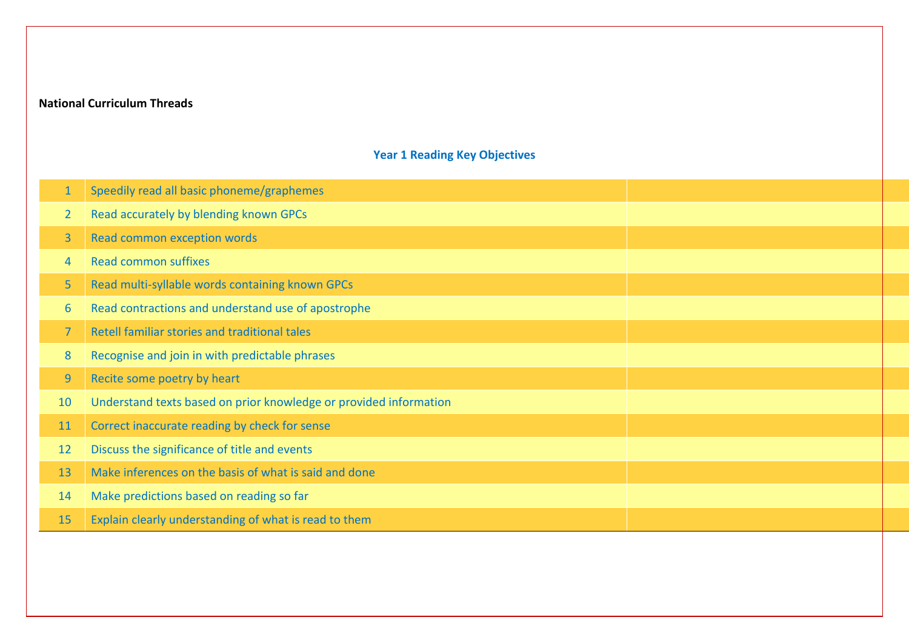## **National Curriculum Threads**

## **Year 1 Reading Key Objectives**

| $\mathbf{1}$   | Speedily read all basic phoneme/graphemes                         |  |
|----------------|-------------------------------------------------------------------|--|
| $\overline{2}$ | Read accurately by blending known GPCs                            |  |
| $\overline{3}$ | Read common exception words                                       |  |
| 4              | <b>Read common suffixes</b>                                       |  |
| 5              | Read multi-syllable words containing known GPCs                   |  |
| 6              | Read contractions and understand use of apostrophe                |  |
| $\overline{7}$ | Retell familiar stories and traditional tales                     |  |
| 8              | Recognise and join in with predictable phrases                    |  |
| 9              | Recite some poetry by heart                                       |  |
| 10             | Understand texts based on prior knowledge or provided information |  |
| 11             | Correct inaccurate reading by check for sense                     |  |
| 12             | Discuss the significance of title and events                      |  |
| 13             | Make inferences on the basis of what is said and done             |  |
| 14             | Make predictions based on reading so far                          |  |
| 15             | Explain clearly understanding of what is read to them             |  |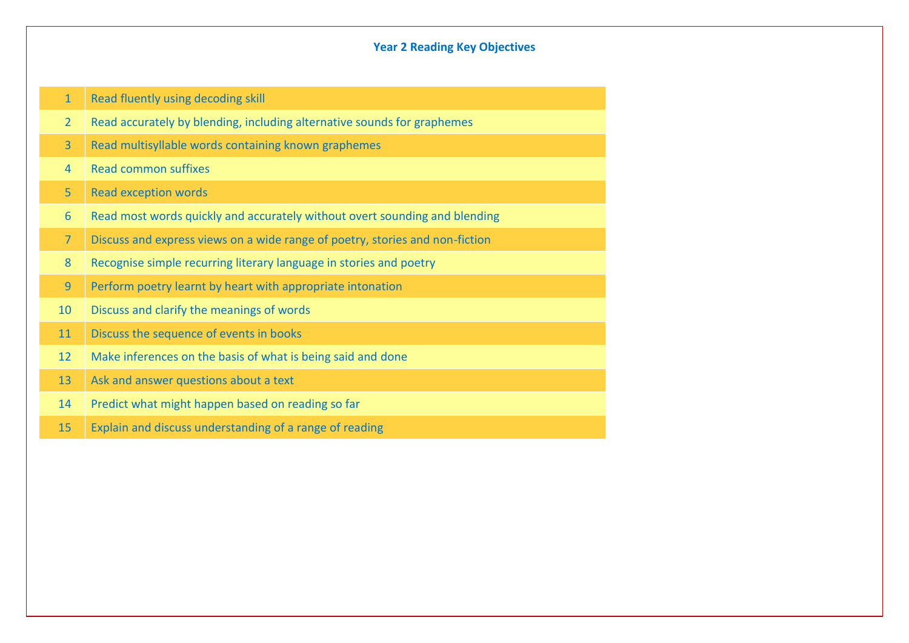### **Year 2 Reading Key Objectives**

1 Read fluently using decoding skill

- Read accurately by blending, including alternative sounds for graphemes
- Read multisyllable words containing known graphemes
- Read common suffixes
- Read exception words
- Read most words quickly and accurately without overt sounding and blending
- Discuss and express views on a wide range of poetry, stories and non-fiction
- Recognise simple recurring literary language in stories and poetry
- Perform poetry learnt by heart with appropriate intonation
- 10 Discuss and clarify the meanings of words
- 11 Discuss the sequence of events in books
- Make inferences on the basis of what is being said and done
- 13 Ask and answer questions about a text
- Predict what might happen based on reading so far
- Explain and discuss understanding of a range of reading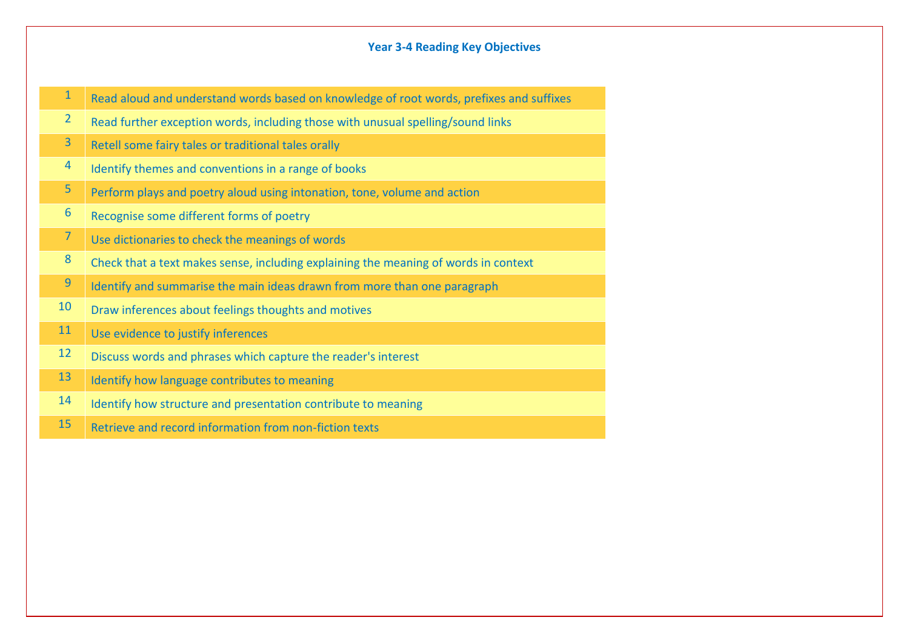#### **Year 3-4 Reading Key Objectives**

|  | 1 Read aloud and understand words based on knowledge of root words, prefixes and suffixes |  |
|--|-------------------------------------------------------------------------------------------|--|
|--|-------------------------------------------------------------------------------------------|--|

2 Read further exception words, including those with unusual spelling/sound links

3 Retell some fairy tales or traditional tales orally

- 4 Identify themes and conventions in a range of books
- 5 Perform plays and poetry aloud using intonation, tone, volume and action
- $6$  Recognise some different forms of poetry
- 7 Use dictionaries to check the meanings of words
- 8 Check that a text makes sense, including explaining the meaning of words in context
- $9$  Identify and summarise the main ideas drawn from more than one paragraph
- 10 Draw inferences about feelings thoughts and motives
- 11 Use evidence to justify inferences
- 12 Discuss words and phrases which capture the reader's interest
- 13 | Identify how language contributes to meaning
- 14 | Identify how structure and presentation contribute to meaning
- 15 Retrieve and record information from non-fiction texts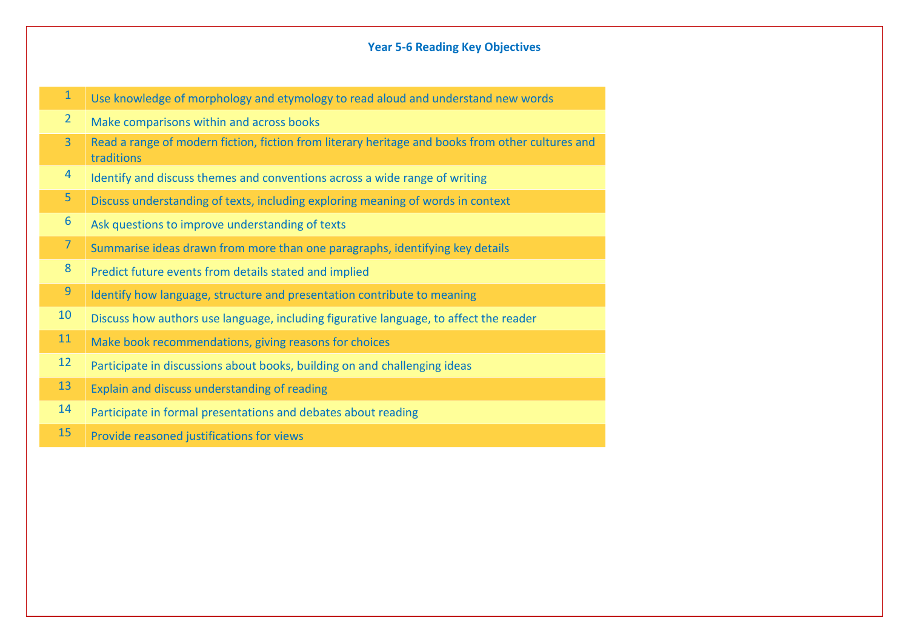## **Year 5-6 Reading Key Objectives**

| $\mathbf{1}$   | Use knowledge of morphology and etymology to read aloud and understand new words                               |
|----------------|----------------------------------------------------------------------------------------------------------------|
| $\overline{2}$ | Make comparisons within and across books                                                                       |
| $\overline{3}$ | Read a range of modern fiction, fiction from literary heritage and books from other cultures and<br>traditions |
| $\overline{4}$ | Identify and discuss themes and conventions across a wide range of writing                                     |
| 5              | Discuss understanding of texts, including exploring meaning of words in context                                |
| 6              | Ask questions to improve understanding of texts                                                                |
| $\overline{7}$ | Summarise ideas drawn from more than one paragraphs, identifying key details                                   |
| 8              | Predict future events from details stated and implied                                                          |
| 9              | Identify how language, structure and presentation contribute to meaning                                        |
| 10             | Discuss how authors use language, including figurative language, to affect the reader                          |
| 11             | Make book recommendations, giving reasons for choices                                                          |
| 12             | Participate in discussions about books, building on and challenging ideas                                      |
| 13             | Explain and discuss understanding of reading                                                                   |
| 14             | Participate in formal presentations and debates about reading                                                  |
| 15             | Provide reasoned justifications for views                                                                      |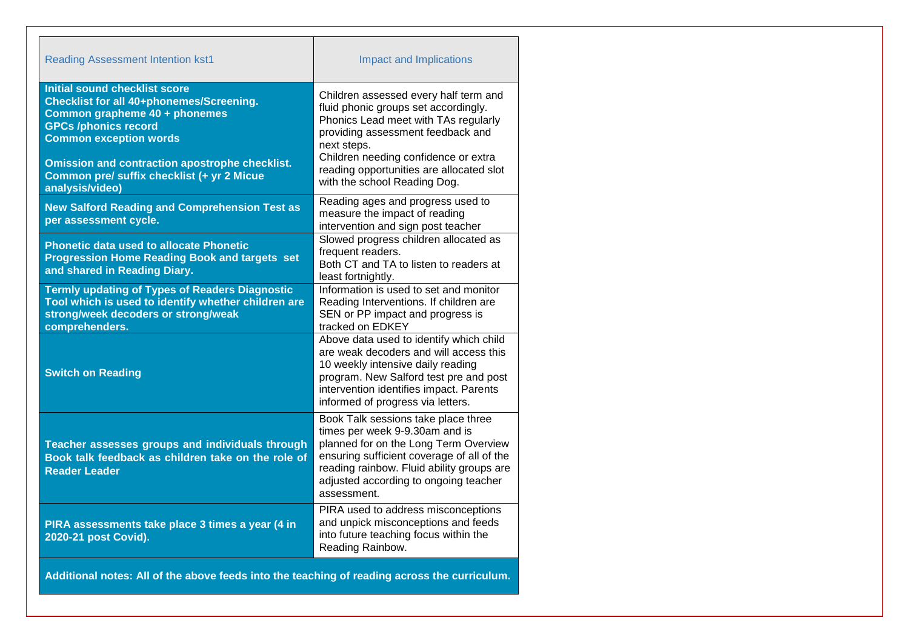| <b>Reading Assessment Intention kst1</b>                                                                                                                                                                                                                                                                    | <b>Impact and Implications</b>                                                                                                                                                                                                                                                                |
|-------------------------------------------------------------------------------------------------------------------------------------------------------------------------------------------------------------------------------------------------------------------------------------------------------------|-----------------------------------------------------------------------------------------------------------------------------------------------------------------------------------------------------------------------------------------------------------------------------------------------|
| <b>Initial sound checklist score</b><br>Checklist for all 40+phonemes/Screening.<br>Common grapheme 40 + phonemes<br><b>GPCs /phonics record</b><br><b>Common exception words</b><br><b>Omission and contraction apostrophe checklist.</b><br>Common pre/ suffix checklist (+ yr 2 Micue<br>analysis/video) | Children assessed every half term and<br>fluid phonic groups set accordingly.<br>Phonics Lead meet with TAs regularly<br>providing assessment feedback and<br>next steps.<br>Children needing confidence or extra<br>reading opportunities are allocated slot<br>with the school Reading Dog. |
| <b>New Salford Reading and Comprehension Test as</b><br>per assessment cycle.                                                                                                                                                                                                                               | Reading ages and progress used to<br>measure the impact of reading<br>intervention and sign post teacher                                                                                                                                                                                      |
| Phonetic data used to allocate Phonetic<br><b>Progression Home Reading Book and targets set</b><br>and shared in Reading Diary.                                                                                                                                                                             | Slowed progress children allocated as<br>frequent readers.<br>Both CT and TA to listen to readers at<br>least fortnightly.                                                                                                                                                                    |
| <b>Termly updating of Types of Readers Diagnostic</b><br>Tool which is used to identify whether children are<br>strong/week decoders or strong/weak<br>comprehenders.                                                                                                                                       | Information is used to set and monitor<br>Reading Interventions. If children are<br>SEN or PP impact and progress is<br>tracked on EDKEY                                                                                                                                                      |
| <b>Switch on Reading</b>                                                                                                                                                                                                                                                                                    | Above data used to identify which child<br>are weak decoders and will access this<br>10 weekly intensive daily reading<br>program. New Salford test pre and post<br>intervention identifies impact. Parents<br>informed of progress via letters.                                              |
| Teacher assesses groups and individuals through<br>Book talk feedback as children take on the role of<br><b>Reader Leader</b>                                                                                                                                                                               | Book Talk sessions take place three<br>times per week 9-9.30am and is<br>planned for on the Long Term Overview<br>ensuring sufficient coverage of all of the<br>reading rainbow. Fluid ability groups are<br>adjusted according to ongoing teacher<br>assessment.                             |
| PIRA assessments take place 3 times a year (4 in<br>2020-21 post Covid).                                                                                                                                                                                                                                    | PIRA used to address misconceptions<br>and unpick misconceptions and feeds<br>into future teaching focus within the<br>Reading Rainbow.                                                                                                                                                       |
| Additional notes: All of the above feeds into the teaching of reading across the curriculum.                                                                                                                                                                                                                |                                                                                                                                                                                                                                                                                               |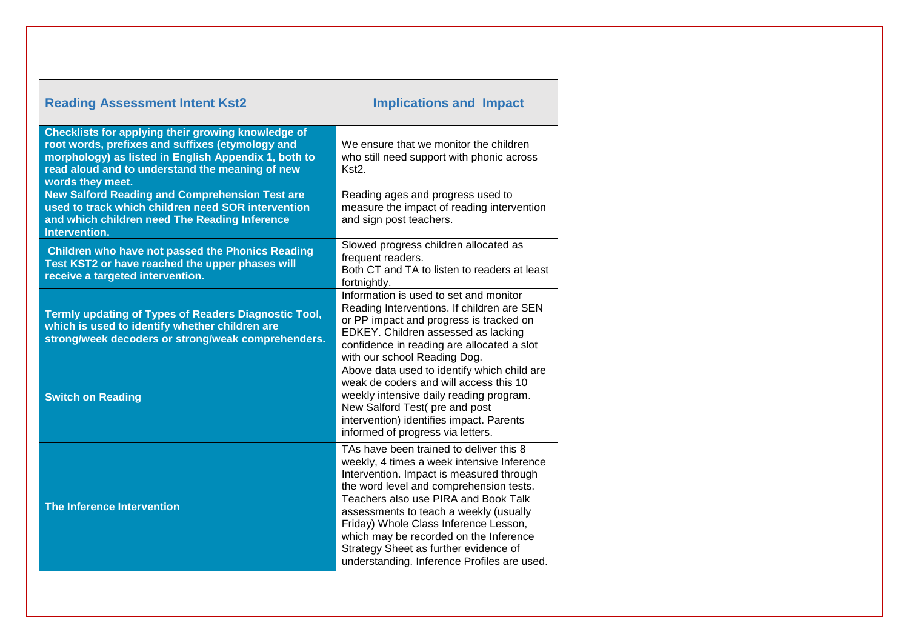| <b>Reading Assessment Intent Kst2</b>                                                                                                                                                                                                 | <b>Implications and Impact</b>                                                                                                                                                                                                                                                                                                                                                                                                            |
|---------------------------------------------------------------------------------------------------------------------------------------------------------------------------------------------------------------------------------------|-------------------------------------------------------------------------------------------------------------------------------------------------------------------------------------------------------------------------------------------------------------------------------------------------------------------------------------------------------------------------------------------------------------------------------------------|
| Checklists for applying their growing knowledge of<br>root words, prefixes and suffixes (etymology and<br>morphology) as listed in English Appendix 1, both to<br>read aloud and to understand the meaning of new<br>words they meet. | We ensure that we monitor the children<br>who still need support with phonic across<br>Kst <sub>2</sub>                                                                                                                                                                                                                                                                                                                                   |
| New Salford Reading and Comprehension Test are<br>used to track which children need SOR intervention<br>and which children need The Reading Inference<br>Intervention.                                                                | Reading ages and progress used to<br>measure the impact of reading intervention<br>and sign post teachers.                                                                                                                                                                                                                                                                                                                                |
| <b>Children who have not passed the Phonics Reading</b><br>Test KST2 or have reached the upper phases will<br>receive a targeted intervention.                                                                                        | Slowed progress children allocated as<br>frequent readers.<br>Both CT and TA to listen to readers at least<br>fortnightly.                                                                                                                                                                                                                                                                                                                |
| Termly updating of Types of Readers Diagnostic Tool,<br>which is used to identify whether children are<br>strong/week decoders or strong/weak comprehenders.                                                                          | Information is used to set and monitor<br>Reading Interventions. If children are SEN<br>or PP impact and progress is tracked on<br>EDKEY. Children assessed as lacking<br>confidence in reading are allocated a slot<br>with our school Reading Dog.                                                                                                                                                                                      |
| <b>Switch on Reading</b>                                                                                                                                                                                                              | Above data used to identify which child are<br>weak de coders and will access this 10<br>weekly intensive daily reading program.<br>New Salford Test(pre and post<br>intervention) identifies impact. Parents<br>informed of progress via letters.                                                                                                                                                                                        |
| The Inference Intervention                                                                                                                                                                                                            | TAs have been trained to deliver this 8<br>weekly, 4 times a week intensive Inference<br>Intervention. Impact is measured through<br>the word level and comprehension tests.<br>Teachers also use PIRA and Book Talk<br>assessments to teach a weekly (usually<br>Friday) Whole Class Inference Lesson,<br>which may be recorded on the Inference<br>Strategy Sheet as further evidence of<br>understanding. Inference Profiles are used. |